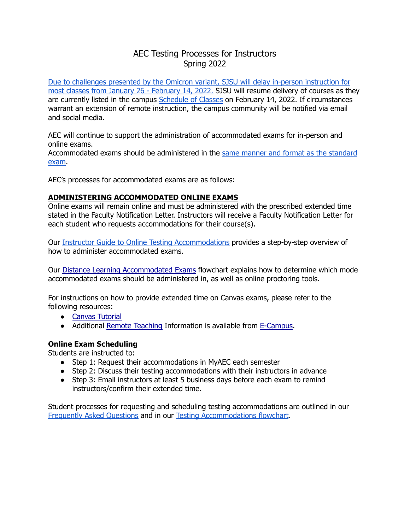# AEC Testing Processes for Instructors Spring 2022

Due to [challenges](https://www.sjsu.edu/healthadvisories/resources/campus-messages/index.php) presented by the Omicron variant, SJSU will delay in-person instruction for most classes from January 26 - [February](https://www.sjsu.edu/healthadvisories/resources/campus-messages/index.php) 14, 2022. SJSU will resume delivery of courses as they are currently listed in the campus [Schedule](https://www.sjsu.edu/classes/) of Classes on February 14, 2022. If circumstances warrant an extension of remote instruction, the campus community will be notified via email and social media.

AEC will continue to support the administration of accommodated exams for in-person and online exams.

Accommodated exams should be administered in the same manner and format as the [standard](https://www.sjsu.edu/aec/docs/Distance%20Learning%20Accommodated%20Exams%20Flow%20Chart.pdf) [exam](https://www.sjsu.edu/aec/docs/Distance%20Learning%20Accommodated%20Exams%20Flow%20Chart.pdf).

AEC's processes for accommodated exams are as follows:

#### **ADMINISTERING ACCOMMODATED ONLINE EXAMS**

Online exams will remain online and must be administered with the prescribed extended time stated in the Faculty Notification Letter. Instructors will receive a Faculty Notification Letter for each student who requests accommodations for their course(s).

Our Instructor Guide to Online Testing [Accommodations](https://www.sjsu.edu/aec/docs/Instructor%20Guide%20to%20Online%20Testing%20Accommodations%20Flowchart.pdf) provides a step-by-step overview of how to administer accommodated exams.

Our Distance Learning [Accommodated](https://www.sjsu.edu/aec/docs/Distance%20Learning%20Accommodated%20Exams%20Flow%20Chart.pdf) Exams flowchart explains how to determine which mode accommodated exams should be administered in, as well as online proctoring tools.

For instructions on how to provide extended time on Canvas exams, please refer to the following resources:

- Canvas [Tutorial](https://guides.instructure.com/m/4152/l/276279-once-i-publish-a-timed-quiz-how-can-i-give-my-students-extra-time)
- Additional Remote [Teaching](http://www.sjsu.edu/ecampus/support/remote/index.html) Information is available from [E-Campus](http://www.sjsu.edu/ecampus/).

#### **Online Exam Scheduling**

Students are instructed to:

- Step 1: Request their accommodations in MyAEC each semester
- Step 2: Discuss their testing accommodations with their instructors in advance
- Step 3: Email instructors at least 5 business days before each exam to remind instructors/confirm their extended time.

Student processes for requesting and scheduling testing accommodations are outlined in our [Frequently](https://www.sjsu.edu/aec/about/faq/current-students.php#currentstdtestaccoms) Asked Questions and in our Testing [Accommodations](https://www.sjsu.edu/aec/docs/Steps%20for%20Using%20Testing%20Accommodations%20Flowchart%20Spring%202022.pdf) flowchart.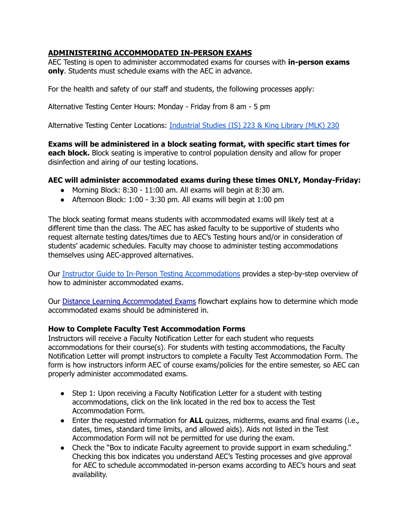# **ADMINISTERING ACCOMMODATED IN-PERSON EXAMS**

AEC Testing is open to administer accommodated exams for courses with **in-person exams only**. Students must schedule exams with the AEC in advance.

For the health and safety of our staff and students, the following processes apply:

Alternative Testing Center Hours: Monday - Friday from 8 am - 5 pm

Alternative Testing Center Locations: [Industrial](https://www.sjsu.edu/map/) Studies (IS) 223 & King Library (MLK) 230

**Exams will be administered in a block seating format, with specific start times for each block.** Block seating is imperative to control population density and allow for proper disinfection and airing of our testing locations.

#### **AEC will administer accommodated exams during these times ONLY, Monday-Friday:**

- Morning Block:  $8:30 11:00$  am. All exams will begin at  $8:30$  am.
- $\bullet$  Afternoon Block: 1:00 3:30 pm. All exams will begin at 1:00 pm

The block seating format means students with accommodated exams will likely test at a different time than the class. The AEC has asked faculty to be supportive of students who request alternate testing dates/times due to AEC's Testing hours and/or in consideration of students' academic schedules. Faculty may choose to administer testing accommodations themselves using AEC-approved alternatives.

Our Instructor Guide to In-Person Testing [Accommodations](https://www.sjsu.edu/aec/docs/Instructor%20Guide%20to%20In-Person%20Testing%20Accommodations%20Flowchart.pdf) provides a step-by-step overview of how to administer accommodated exams.

Our Distance Learning [Accommodated](https://www.sjsu.edu/aec/docs/Distance%20Learning%20Accommodated%20Exams%20Flow%20Chart.pdf) Exams flowchart explains how to determine which mode accommodated exams should be administered in.

#### **How to Complete Faculty Test Accommodation Forms**

Instructors will receive a Faculty Notification Letter for each student who requests accommodations for their course(s). For students with testing accommodations, the Faculty Notification Letter will prompt instructors to complete a Faculty Test Accommodation Form. The form is how instructors inform AEC of course exams/policies for the entire semester, so AEC can properly administer accommodated exams.

- Step 1: Upon receiving a Faculty Notification Letter for a student with testing accommodations, click on the link located in the red box to access the Test Accommodation Form.
- Enter the requested information for **ALL** quizzes, midterms, exams and final exams (i.e., dates, times, standard time limits, and allowed aids). Aids not listed in the Test Accommodation Form will not be permitted for use during the exam.
- Check the "Box to indicate Faculty agreement to provide support in exam scheduling." Checking this box indicates you understand AEC's Testing processes and give approval for AEC to schedule accommodated in-person exams according to AEC's hours and seat availability.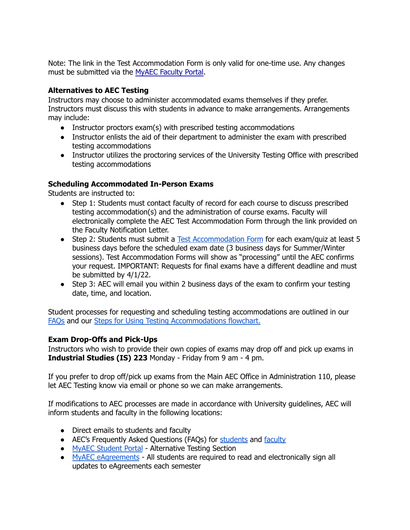Note: The link in the Test Accommodation Form is only valid for one-time use. Any changes must be submitted via the MyAEC [Faculty](https://hood.accessiblelearning.com/SJSU/instructor/) Portal.

### **Alternatives to AEC Testing**

Instructors may choose to administer accommodated exams themselves if they prefer. Instructors must discuss this with students in advance to make arrangements. Arrangements may include:

- Instructor proctors exam(s) with prescribed testing accommodations
- Instructor enlists the aid of their department to administer the exam with prescribed testing accommodations
- Instructor utilizes the proctoring services of the University Testing Office with prescribed testing accommodations

# **Scheduling Accommodated In-Person Exams**

Students are instructed to:

- Step 1: Students must contact faculty of record for each course to discuss prescribed testing accommodation(s) and the administration of course exams. Faculty will electronically complete the AEC Test Accommodation Form through the link provided on the Faculty Notification Letter.
- Step 2: Students must submit a Test [Accommodation](https://www.youtube.com/watch?v=cUATAOkbUBc&list=PLtHfE8CVNN4EI_x6zASh7BFzldHR8oc9F&index=5) Form for each exam/quiz at least 5 business days before the scheduled exam date (3 business days for Summer/Winter sessions). Test Accommodation Forms will show as "processing" until the AEC confirms your request. IMPORTANT: Requests for final exams have a different deadline and must be submitted by 4/1/22.
- Step 3: AEC will email you within 2 business days of the exam to confirm your testing date, time, and location.

Student processes for requesting and scheduling testing accommodations are outlined in our [FAQs](https://www.sjsu.edu/aec/about/faq/current-students.php#currentstdtestaccoms) and our Steps for Using Testing [Accommodations](https://www.sjsu.edu/aec/docs/Steps%20for%20Using%20Testing%20Accommodations%20Flowchart%20Spring%202022.pdf) flowchart.

# **Exam Drop-Offs and Pick-Ups**

Instructors who wish to provide their own copies of exams may drop off and pick up exams in **Industrial Studies (IS) 223** Monday - Friday from 9 am - 4 pm.

If you prefer to drop off/pick up exams from the Main AEC Office in Administration 110, please let AEC Testing know via email or phone so we can make arrangements.

If modifications to AEC processes are made in accordance with University guidelines, AEC will inform students and faculty in the following locations:

- Direct emails to students and faculty
- AEC's Frequently Asked Questions (FAQs) for [students](https://www.sjsu.edu/aec/about/faq/current-students.php#currentstdtestaccoms) and [faculty](https://www.sjsu.edu/aec/about/faq/faculty-faq.php#facultytestaccom)
- MyAEC [Student](https://hood.accessiblelearning.com/sjsu/) Portal Alternative Testing Section
- MyAEC [eAgreements](https://www.youtube.com/watch?v=Id5DdVb4q8U&t=9s) All students are required to read and electronically sign all updates to eAgreements each semester